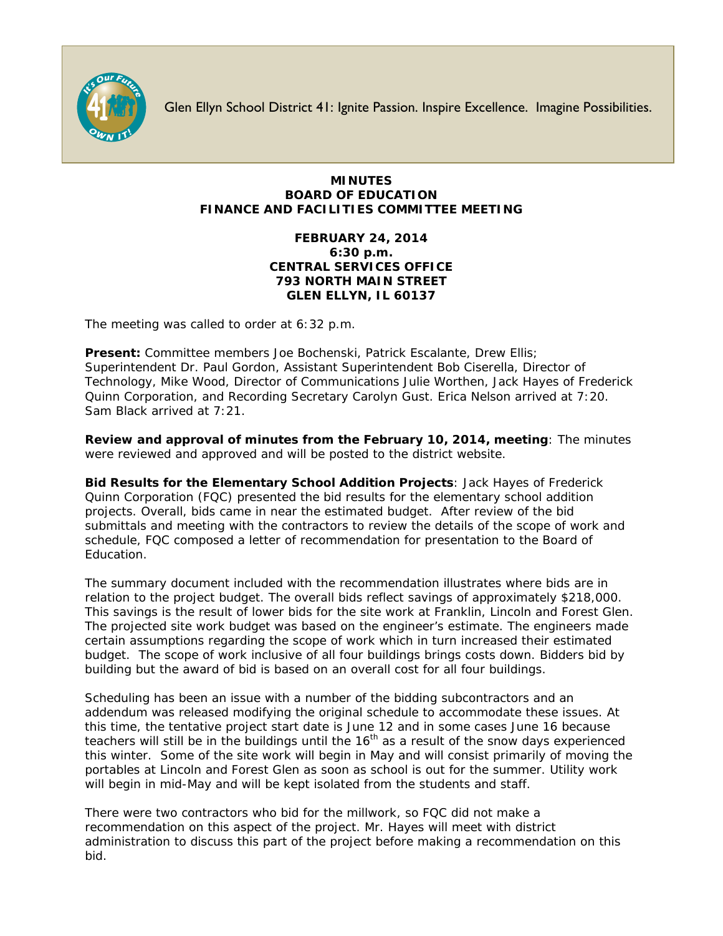

Glen Ellyn School District 41: Ignite Passion. Inspire Excellence. Imagine Possibilities.

## **MINUTES BOARD OF EDUCATION FINANCE AND FACILITIES COMMITTEE MEETING**

## **FEBRUARY 24, 2014 6:30 p.m. CENTRAL SERVICES OFFICE 793 NORTH MAIN STREET GLEN ELLYN, IL 60137**

The meeting was called to order at 6:32 p.m.

**Present:** Committee members Joe Bochenski, Patrick Escalante, Drew Ellis; Superintendent Dr. Paul Gordon, Assistant Superintendent Bob Ciserella, Director of Technology, Mike Wood, Director of Communications Julie Worthen, Jack Hayes of Frederick Quinn Corporation, and Recording Secretary Carolyn Gust. Erica Nelson arrived at 7:20. Sam Black arrived at 7:21.

**Review and approval of minutes from the February 10, 2014, meeting**: The minutes were reviewed and approved and will be posted to the district website.

**Bid Results for the Elementary School Addition Projects**: Jack Hayes of Frederick Quinn Corporation (FQC) presented the bid results for the elementary school addition projects. Overall, bids came in near the estimated budget. After review of the bid submittals and meeting with the contractors to review the details of the scope of work and schedule, FQC composed a letter of recommendation for presentation to the Board of Education.

The summary document included with the recommendation illustrates where bids are in relation to the project budget. The overall bids reflect savings of approximately \$218,000. This savings is the result of lower bids for the site work at Franklin, Lincoln and Forest Glen. The projected site work budget was based on the engineer's estimate. The engineers made certain assumptions regarding the scope of work which in turn increased their estimated budget. The scope of work inclusive of all four buildings brings costs down. Bidders bid by building but the award of bid is based on an overall cost for all four buildings.

Scheduling has been an issue with a number of the bidding subcontractors and an addendum was released modifying the original schedule to accommodate these issues. At this time, the tentative project start date is June 12 and in some cases June 16 because teachers will still be in the buildings until the 16<sup>th</sup> as a result of the snow days experienced this winter. Some of the site work will begin in May and will consist primarily of moving the portables at Lincoln and Forest Glen as soon as school is out for the summer. Utility work will begin in mid-May and will be kept isolated from the students and staff.

There were two contractors who bid for the millwork, so FQC did not make a recommendation on this aspect of the project. Mr. Hayes will meet with district administration to discuss this part of the project before making a recommendation on this bid.